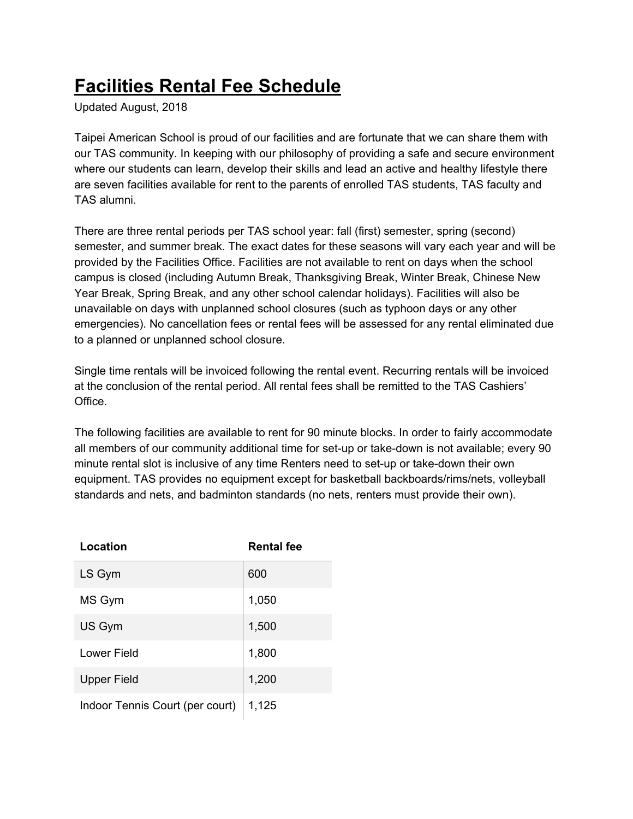## **Facilities Rental Fee Schedule**

Updated August, 2018

Taipei American School is proud of our facilities and are fortunate that we can share them with our TAS community. In keeping with our philosophy of providing a safe and secure environment where our students can learn, develop their skills and lead an active and healthy lifestyle there are seven facilities available for rent to the parents of enrolled TAS students, TAS faculty and TAS alumni.

There are three rental periods per TAS school year: fall (first) semester, spring (second) semester, and summer break. The exact dates for these seasons will vary each year and will be provided by the Facilities Office. Facilities are not available to rent on days when the school campus is closed (including Autumn Break, Thanksgiving Break, Winter Break, Chinese New Year Break, Spring Break, and any other school calendar holidays). Facilities will also be unavailable on days with unplanned school closures (such as typhoon days or any other emergencies). No cancellation fees or rental fees will be assessed for any rental eliminated due to a planned or unplanned school closure.

Single time rentals will be invoiced following the rental event. Recurring rentals will be invoiced at the conclusion of the rental period. All rental fees shall be remitted to the TAS Cashiers' Office.

The following facilities are available to rent for 90 minute blocks. In order to fairly accommodate all members of our community additional time for set-up or take-down is not available; every 90 minute rental slot is inclusive of any time Renters need to set-up or take-down their own equipment. TAS provides no equipment except for basketball backboards/rims/nets, volleyball standards and nets, and badminton standards (no nets, renters must provide their own).

| Location                        | <b>Rental fee</b> |
|---------------------------------|-------------------|
| LS Gym                          | 600               |
| MS Gym                          | 1,050             |
| US Gym                          | 1,500             |
| Lower Field                     | 1,800             |
| <b>Upper Field</b>              | 1,200             |
| Indoor Tennis Court (per court) | 1,125             |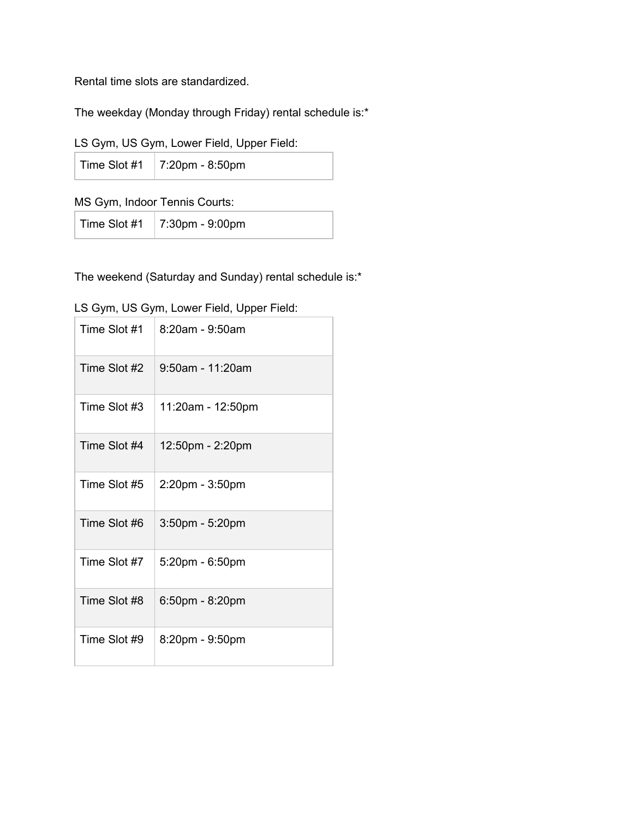Rental time slots are standardized.

The weekday (Monday through Friday) rental schedule is:\*

|  |  | LS Gym, US Gym, Lower Field, Upper Field: |  |  |
|--|--|-------------------------------------------|--|--|
|  |  |                                           |  |  |

| Time Slot #1   7:20pm - 8:50pm |  |
|--------------------------------|--|
|--------------------------------|--|

MS Gym, Indoor Tennis Courts:

| Time Slot #1 | 7:30pm - 9:00pm |
|--------------|-----------------|
|--------------|-----------------|

The weekend (Saturday and Sunday) rental schedule is:\*

| Time Slot #1 | $8:20$ am - 9:50am |
|--------------|--------------------|
| Time Slot #2 | 9:50am - 11:20am   |
| Time Slot #3 | 11:20am - 12:50pm  |
| Time Slot #4 | 12:50pm - 2:20pm   |
| Time Slot #5 | 2:20pm - 3:50pm    |
| Time Slot #6 | 3:50pm - 5:20pm    |
| Time Slot #7 | 5:20pm - 6:50pm    |
| Time Slot #8 | 6:50pm - 8:20pm    |
| Time Slot #9 | 8:20pm - 9:50pm    |

LS Gym, US Gym, Lower Field, Upper Field: